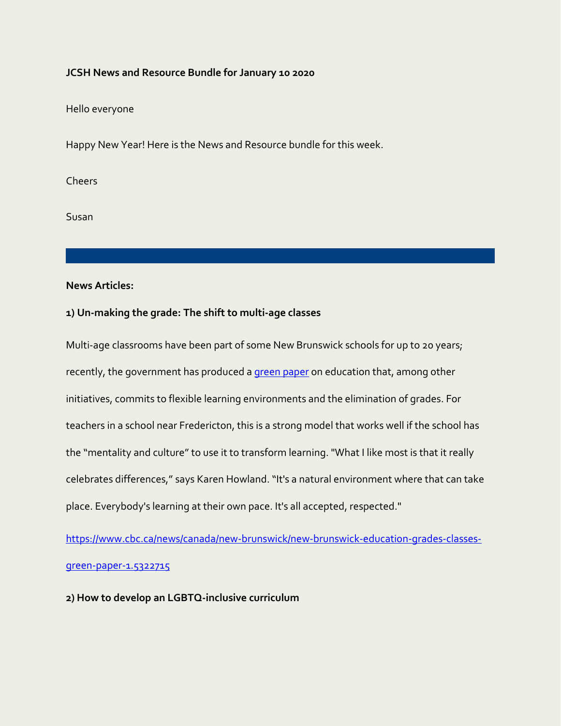### **JCSH News and Resource Bundle for January 10 2020**

Hello everyone

Happy New Year! Here is the News and Resource bundle for this week.

Cheers

Susan

**News Articles:**

## **1) Un-making the grade: The shift to multi-age classes**

Multi-age classrooms have been part of some New Brunswick schools for up to 20 years; recently, the government has produced [a green paper](https://www2.gnb.ca/content/dam/gnb/Departments/ed/pdf/promo/summit/GreenPaper.pdf) on education that, among other initiatives, commits to flexible learning environments and the elimination of grades. For teachers in a school near Fredericton, this is a strong model that works well if the school has the "mentality and culture" to use it to transform learning. "What I like most is that it really celebrates differences," says Karen Howland. "It's a natural environment where that can take place. Everybody's learning at their own pace. It's all accepted, respected."

[https://www.cbc.ca/news/canada/new-brunswick/new-brunswick-education-grades-classes](https://www.cbc.ca/news/canada/new-brunswick/new-brunswick-education-grades-classes-green-paper-1.5322715)[green-paper-1.5322715](https://www.cbc.ca/news/canada/new-brunswick/new-brunswick-education-grades-classes-green-paper-1.5322715)

**2) How to develop an LGBTQ-inclusive curriculum**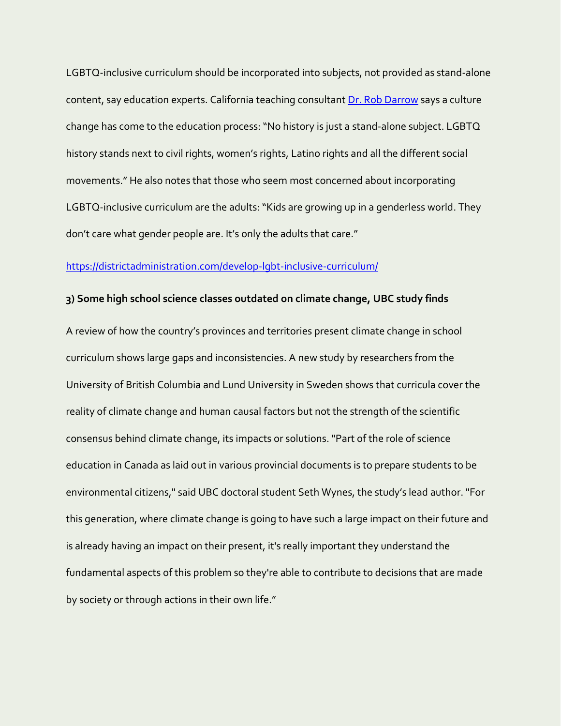LGBTQ-inclusive curriculum should be incorporated into subjects, not provided as stand-alone content, say education experts. California teaching consultan[t Dr. Rob Darrow](https://twitter.com/robdarrow) says a culture change has come to the education process: "No history is just a stand-alone subject. LGBTQ history stands next to civil rights, women's rights, Latino rights and all the different social movements." He also notes that those who seem most concerned about incorporating LGBTQ-inclusive curriculum are the adults: "Kids are growing up in a genderless world. They don't care what gender people are. It's only the adults that care."

### <https://districtadministration.com/develop-lgbt-inclusive-curriculum/>

#### **3) Some high school science classes outdated on climate change, UBC study finds**

A review of how the country's provinces and territories present climate change in school curriculum shows large gaps and inconsistencies. A new study by researchers from the University of British Columbia and Lund University in Sweden shows that curricula cover the reality of climate change and human causal factors but not the strength of the scientific consensus behind climate change, its impacts or solutions. "Part of the role of science education in Canada as laid out in various provincial documents is to prepare students to be environmental citizens," said UBC doctoral student Seth Wynes, the study's lead author. "For this generation, where climate change is going to have such a large impact on their future and is already having an impact on their present, it's really important they understand the fundamental aspects of this problem so they're able to contribute to decisions that are made by society or through actions in their own life."